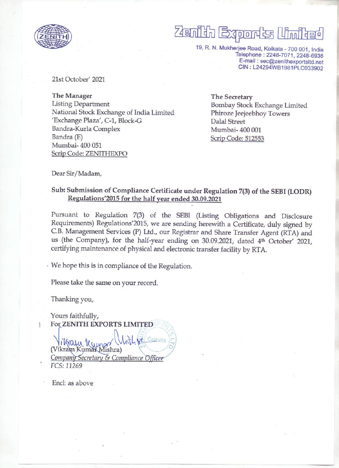

## $\overline{\phantom{a}}$ enih Exports linite<sup>d</sup>

19, R. N. Mukherjee Road, Kolkata - 700 001, India<br>
Telephone : 2248-7071, 2248-6936<br>
E-mail : sec@zenithexportsltd.net<br>
CIN : L24294WB1981PLC033902

21st October' 2021 i

The Manager The Manager The Secretary<br>
Listing Department Bombay Stock Exchange Limited<br>
National Stock Exchange of India Limited Phiroze Jeejeebhoy Towers "Exchange Plaza', C-1, Block-G Dalal Street Bandra-Kurla Complex Mumbai- 400 <sup>001</sup> Bandra (E) Scrip Code: 512553 Mumbai- 400 051 Scrip Code: ZENITHEXPO

Dear Sir/Madam,

## Sub: Submission of Compliance Certificate under Regulation 7(3) of the SEBI (LODR) Regulations'2015 for the half year ended 30.09.2021

Pursuant to Regulation 7(3) of the SEBI (Listing Obligations and Disclosure Requirements) Regulations'2015, we are sending herewith a Certificate, duly signed by C.B. Management Services (P) Ltd., our Registrar and Share T

: We hope this is in compliance of the Regulation.

Please take the same on your record.

Thanking you,

Yours faithfully, For ZENITH EXPORTS LIMITED Vikram Kumen With Ki Calcutta Company Secretary & Compliance Officer FCS: 11269

Encl: as above